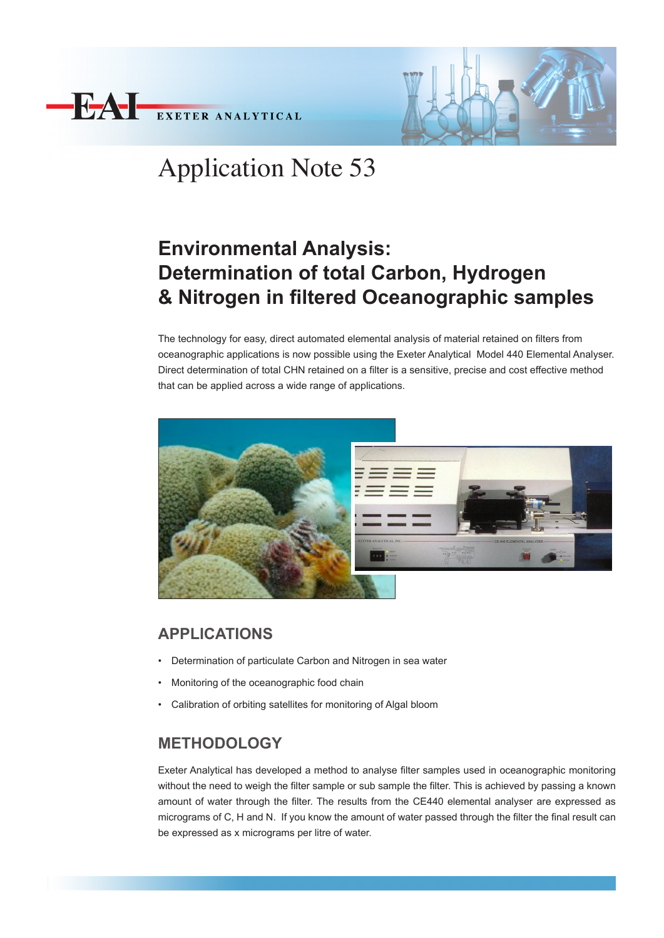



# Application Note 53

# **Environmental Analysis: Determination of total Carbon, Hydrogen & Nitrogen in filtered Oceanographic samples**

The technology for easy, direct automated elemental analysis of material retained on filters from oceanographic applications is now possible using the Exeter Analytical Model 440 Elemental Analyser. Direct determination of total CHN retained on a filter is a sensitive, precise and cost effective method that can be applied across a wide range of applications.



### **APPLICATIONS**

- Determination of particulate Carbon and Nitrogen in sea water
- Monitoring of the oceanographic food chain
- Calibration of orbiting satellites for monitoring of Algal bloom

## **METHODOLOGY**

Exeter Analytical has developed a method to analyse filter samples used in oceanographic monitoring without the need to weigh the filter sample or sub sample the filter. This is achieved by passing a known amount of water through the filter. The results from the CE440 elemental analyser are expressed as micrograms of C, H and N. If you know the amount of water passed through the filter the final result can be expressed as x micrograms per litre of water.